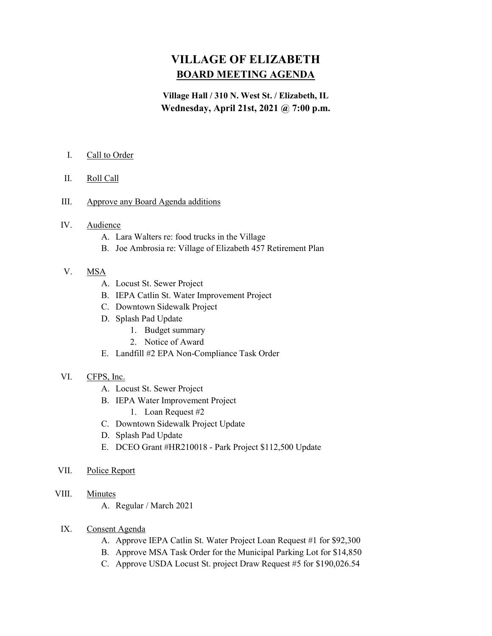# VILLAGE OF ELIZABETH BOARD MEETING AGENDA

## Village Hall / 310 N. West St. / Elizabeth, IL Wednesday, April 21st, 2021 @ 7:00 p.m.

- I. Call to Order
- II. Roll Call
- III. Approve any Board Agenda additions
- IV. Audience
	- A. Lara Walters re: food trucks in the Village
	- B. Joe Ambrosia re: Village of Elizabeth 457 Retirement Plan
- V. MSA
	- A. Locust St. Sewer Project
	- B. IEPA Catlin St. Water Improvement Project
	- C. Downtown Sidewalk Project
	- D. Splash Pad Update
		- 1. Budget summary
		- 2. Notice of Award
	- E. Landfill #2 EPA Non-Compliance Task Order

#### VI. CFPS, Inc.

- A. Locust St. Sewer Project
- B. IEPA Water Improvement Project
	- 1. Loan Request #2
- C. Downtown Sidewalk Project Update
- D. Splash Pad Update
- E. DCEO Grant #HR210018 Park Project \$112,500 Update
- VII. Police Report
- VIII. Minutes
	- A. Regular / March 2021
	- IX. Consent Agenda
		- A. Approve IEPA Catlin St. Water Project Loan Request #1 for \$92,300
		- B. Approve MSA Task Order for the Municipal Parking Lot for \$14,850
		- C. Approve USDA Locust St. project Draw Request #5 for \$190,026.54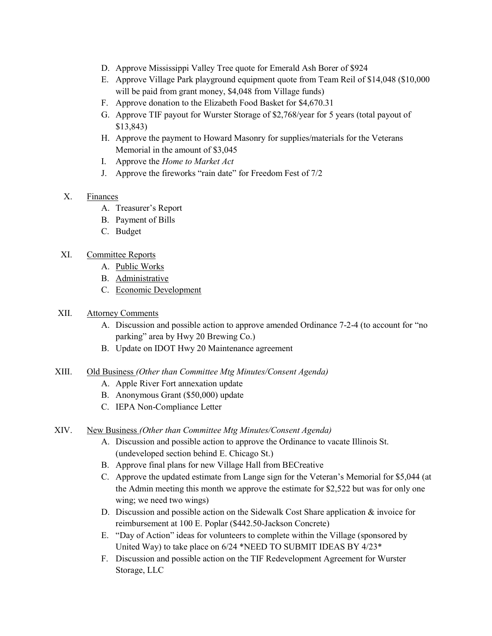- D. Approve Mississippi Valley Tree quote for Emerald Ash Borer of \$924
- E. Approve Village Park playground equipment quote from Team Reil of \$14,048 (\$10,000 will be paid from grant money, \$4,048 from Village funds)
- F. Approve donation to the Elizabeth Food Basket for \$4,670.31
- G. Approve TIF payout for Wurster Storage of \$2,768/year for 5 years (total payout of \$13,843)
- H. Approve the payment to Howard Masonry for supplies/materials for the Veterans Memorial in the amount of \$3,045
- I. Approve the Home to Market Act
- J. Approve the fireworks "rain date" for Freedom Fest of 7/2
- X. Finances
	- A. Treasurer's Report
	- B. Payment of Bills
	- C. Budget

#### XI. Committee Reports

- A. Public Works
- B. Administrative
- C. Economic Development

### XII. Attorney Comments

- A. Discussion and possible action to approve amended Ordinance 7-2-4 (to account for "no parking" area by Hwy 20 Brewing Co.)
- B. Update on IDOT Hwy 20 Maintenance agreement
- XIII. Old Business (Other than Committee Mtg Minutes/Consent Agenda)
	- A. Apple River Fort annexation update
	- B. Anonymous Grant (\$50,000) update
	- C. IEPA Non-Compliance Letter

#### XIV. New Business (Other than Committee Mtg Minutes/Consent Agenda)

- A. Discussion and possible action to approve the Ordinance to vacate Illinois St. (undeveloped section behind E. Chicago St.)
- B. Approve final plans for new Village Hall from BECreative
- C. Approve the updated estimate from Lange sign for the Veteran's Memorial for \$5,044 (at the Admin meeting this month we approve the estimate for \$2,522 but was for only one wing; we need two wings)
- D. Discussion and possible action on the Sidewalk Cost Share application & invoice for reimbursement at 100 E. Poplar (\$442.50-Jackson Concrete)
- E. "Day of Action" ideas for volunteers to complete within the Village (sponsored by United Way) to take place on 6/24 \*NEED TO SUBMIT IDEAS BY 4/23\*
- F. Discussion and possible action on the TIF Redevelopment Agreement for Wurster Storage, LLC